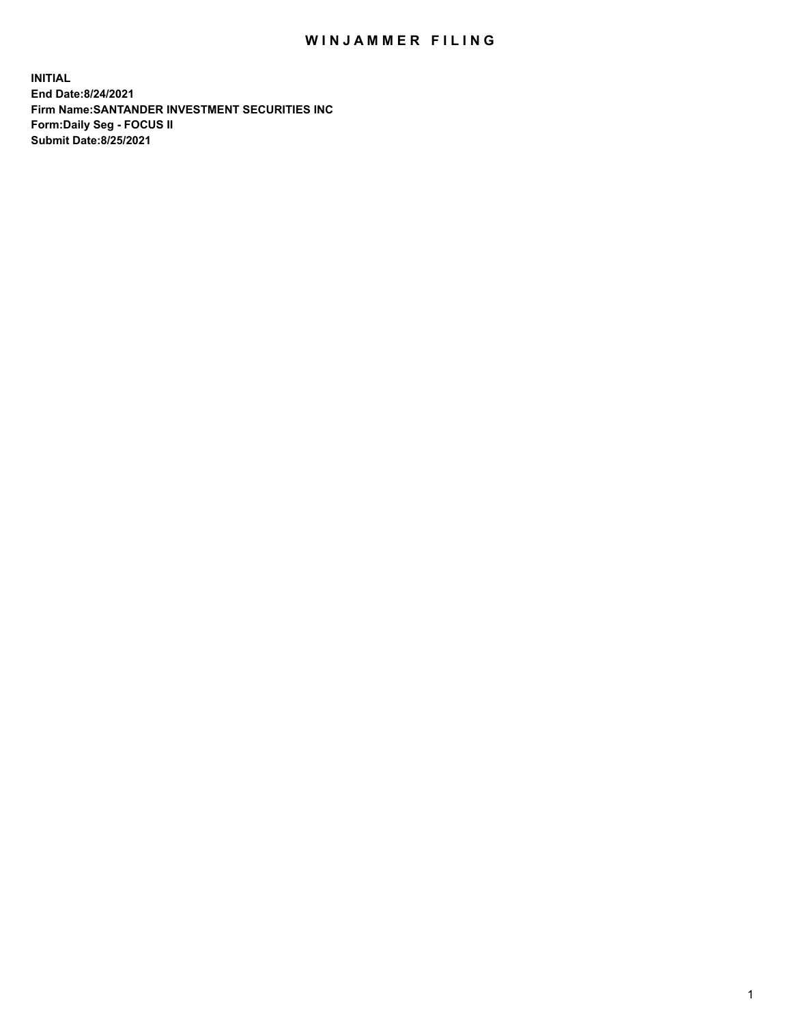## WIN JAMMER FILING

**INITIAL End Date:8/24/2021 Firm Name:SANTANDER INVESTMENT SECURITIES INC Form:Daily Seg - FOCUS II Submit Date:8/25/2021**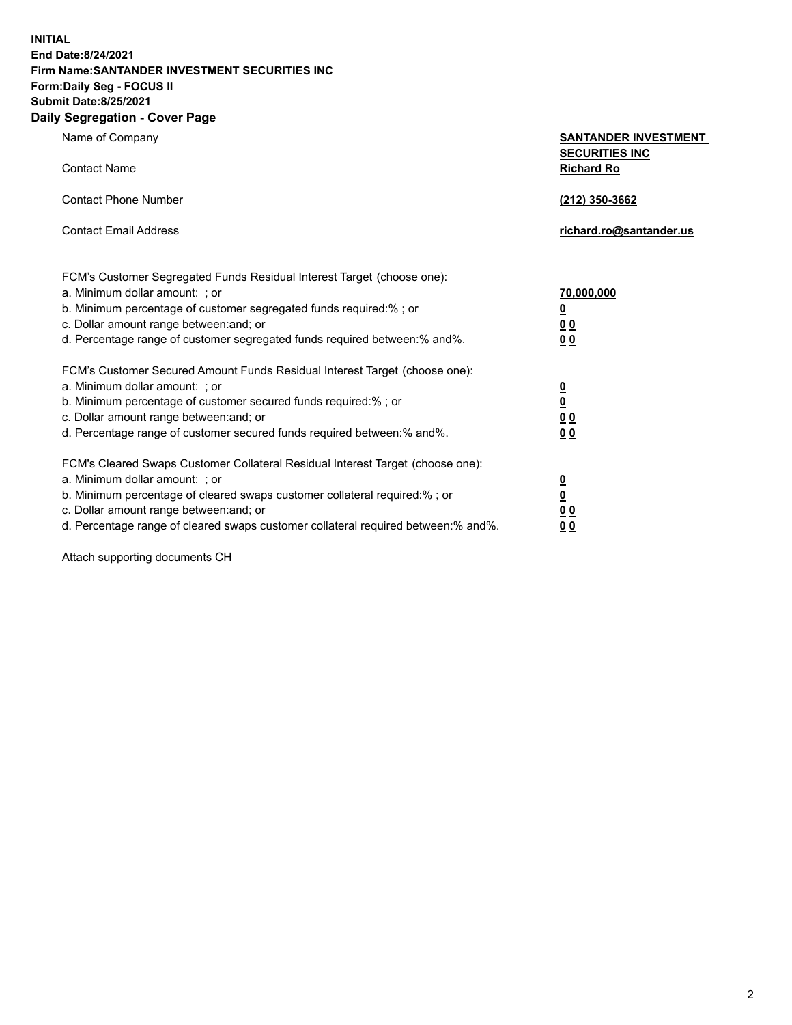**INITIAL End Date:8/24/2021 Firm Name:SANTANDER INVESTMENT SECURITIES INC Form:Daily Seg - FOCUS II Submit Date:8/25/2021 Daily Segregation - Cover Page**

| $0091090001 - 00101 + 090$                                                        |                                            |
|-----------------------------------------------------------------------------------|--------------------------------------------|
| Name of Company                                                                   | <b>SANTANDER INVESTMENT</b>                |
| <b>Contact Name</b>                                                               | <b>SECURITIES INC</b><br><b>Richard Ro</b> |
| <b>Contact Phone Number</b>                                                       | (212) 350-3662                             |
| <b>Contact Email Address</b>                                                      | richard.ro@santander.us                    |
| FCM's Customer Segregated Funds Residual Interest Target (choose one):            |                                            |
| a. Minimum dollar amount: ; or                                                    | 70,000,000                                 |
| b. Minimum percentage of customer segregated funds required:%; or                 | $\overline{\mathbf{0}}$                    |
| c. Dollar amount range between: and; or                                           | 0 <sub>0</sub>                             |
| d. Percentage range of customer segregated funds required between: % and %.       | 0 <sub>0</sub>                             |
| FCM's Customer Secured Amount Funds Residual Interest Target (choose one):        |                                            |
| a. Minimum dollar amount: ; or                                                    | $\overline{\mathbf{0}}$                    |
| b. Minimum percentage of customer secured funds required:%; or                    | $\underline{\mathbf{0}}$                   |
| c. Dollar amount range between: and; or                                           | 0 <sub>0</sub>                             |
| d. Percentage range of customer secured funds required between: % and %.          | 0 <sub>0</sub>                             |
| FCM's Cleared Swaps Customer Collateral Residual Interest Target (choose one):    |                                            |
| a. Minimum dollar amount: ; or                                                    | $\overline{\mathbf{0}}$                    |
| b. Minimum percentage of cleared swaps customer collateral required:%; or         | $\underline{\mathbf{0}}$                   |
| c. Dollar amount range between: and; or                                           | 0 <sub>0</sub>                             |
| d. Percentage range of cleared swaps customer collateral required between:% and%. | 00                                         |

Attach supporting documents CH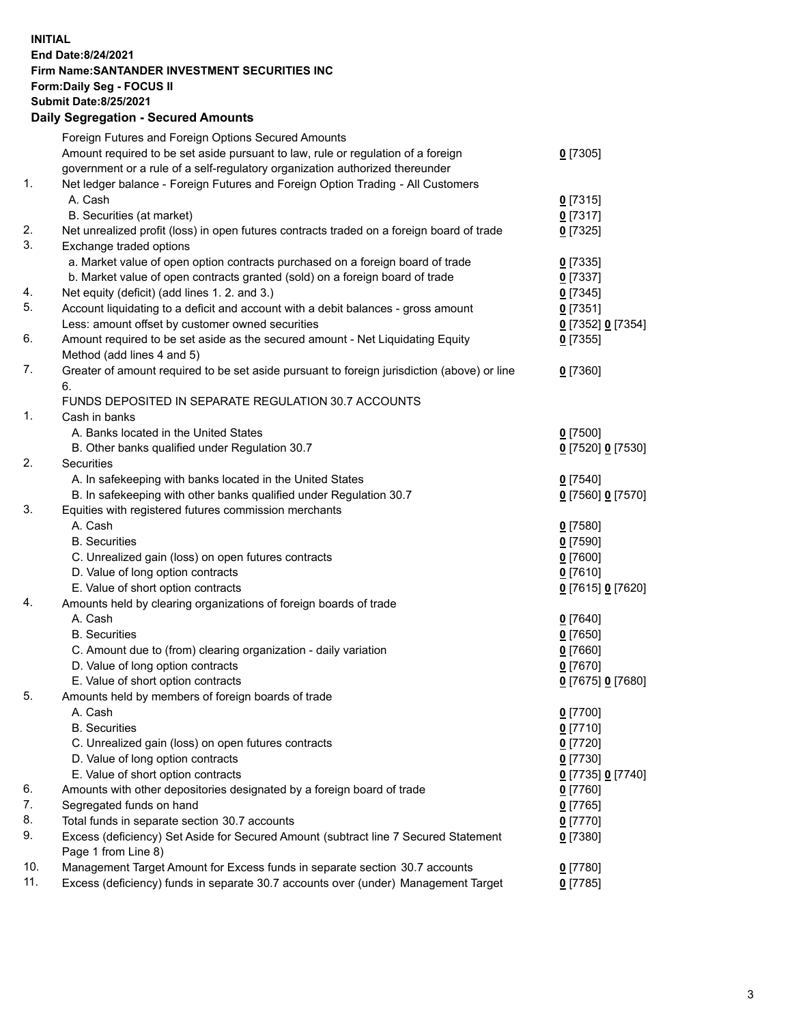**INITIAL End Date:8/24/2021 Firm Name:SANTANDER INVESTMENT SECURITIES INC Form:Daily Seg - FOCUS II Submit Date:8/25/2021 Daily Segregation - Secured Amounts**

|     | Foreign Futures and Foreign Options Secured Amounts                                         |                   |
|-----|---------------------------------------------------------------------------------------------|-------------------|
|     | Amount required to be set aside pursuant to law, rule or regulation of a foreign            | $0$ [7305]        |
|     | government or a rule of a self-regulatory organization authorized thereunder                |                   |
| 1.  | Net ledger balance - Foreign Futures and Foreign Option Trading - All Customers             |                   |
|     | A. Cash                                                                                     | $0$ [7315]        |
|     | B. Securities (at market)                                                                   | 0[7317]           |
| 2.  | Net unrealized profit (loss) in open futures contracts traded on a foreign board of trade   | $0$ [7325]        |
| 3.  | Exchange traded options                                                                     |                   |
|     | a. Market value of open option contracts purchased on a foreign board of trade              | $0$ [7335]        |
|     | b. Market value of open contracts granted (sold) on a foreign board of trade                | $0$ [7337]        |
| 4.  | Net equity (deficit) (add lines 1. 2. and 3.)                                               | $0$ [7345]        |
| 5.  | Account liquidating to a deficit and account with a debit balances - gross amount           | $0$ [7351]        |
|     | Less: amount offset by customer owned securities                                            | 0 [7352] 0 [7354] |
| 6.  | Amount required to be set aside as the secured amount - Net Liquidating Equity              | $0$ [7355]        |
|     | Method (add lines 4 and 5)                                                                  |                   |
| 7.  | Greater of amount required to be set aside pursuant to foreign jurisdiction (above) or line | $0$ [7360]        |
|     | 6.                                                                                          |                   |
|     | FUNDS DEPOSITED IN SEPARATE REGULATION 30.7 ACCOUNTS                                        |                   |
| 1.  | Cash in banks                                                                               |                   |
|     | A. Banks located in the United States                                                       | $0$ [7500]        |
|     | B. Other banks qualified under Regulation 30.7                                              | 0 [7520] 0 [7530] |
| 2.  | Securities                                                                                  |                   |
|     | A. In safekeeping with banks located in the United States                                   | $0$ [7540]        |
|     | B. In safekeeping with other banks qualified under Regulation 30.7                          | 0 [7560] 0 [7570] |
| 3.  | Equities with registered futures commission merchants                                       |                   |
|     | A. Cash                                                                                     | $0$ [7580]        |
|     | <b>B.</b> Securities                                                                        | $0$ [7590]        |
|     | C. Unrealized gain (loss) on open futures contracts                                         | $0$ [7600]        |
|     | D. Value of long option contracts                                                           | $0$ [7610]        |
|     | E. Value of short option contracts                                                          | 0 [7615] 0 [7620] |
| 4.  | Amounts held by clearing organizations of foreign boards of trade                           |                   |
|     | A. Cash                                                                                     | $0$ [7640]        |
|     | <b>B.</b> Securities                                                                        | $0$ [7650]        |
|     | C. Amount due to (from) clearing organization - daily variation                             | $0$ [7660]        |
|     | D. Value of long option contracts                                                           | $0$ [7670]        |
|     | E. Value of short option contracts                                                          | 0 [7675] 0 [7680] |
| 5.  | Amounts held by members of foreign boards of trade                                          |                   |
|     | A. Cash                                                                                     | $0$ [7700]        |
|     | <b>B.</b> Securities                                                                        | $0$ [7710]        |
|     | C. Unrealized gain (loss) on open futures contracts                                         | $0$ [7720]        |
|     | D. Value of long option contracts                                                           | $0$ [7730]        |
|     | E. Value of short option contracts                                                          | 0 [7735] 0 [7740] |
| 6.  | Amounts with other depositories designated by a foreign board of trade                      | $0$ [7760]        |
| 7.  | Segregated funds on hand                                                                    | $0$ [7765]        |
| 8.  | Total funds in separate section 30.7 accounts                                               | $0$ [7770]        |
| 9.  | Excess (deficiency) Set Aside for Secured Amount (subtract line 7 Secured Statement         | 0 [7380]          |
|     | Page 1 from Line 8)                                                                         |                   |
| 10. | Management Target Amount for Excess funds in separate section 30.7 accounts                 | $0$ [7780]        |
| 11. | Excess (deficiency) funds in separate 30.7 accounts over (under) Management Target          | $0$ [7785]        |
|     |                                                                                             |                   |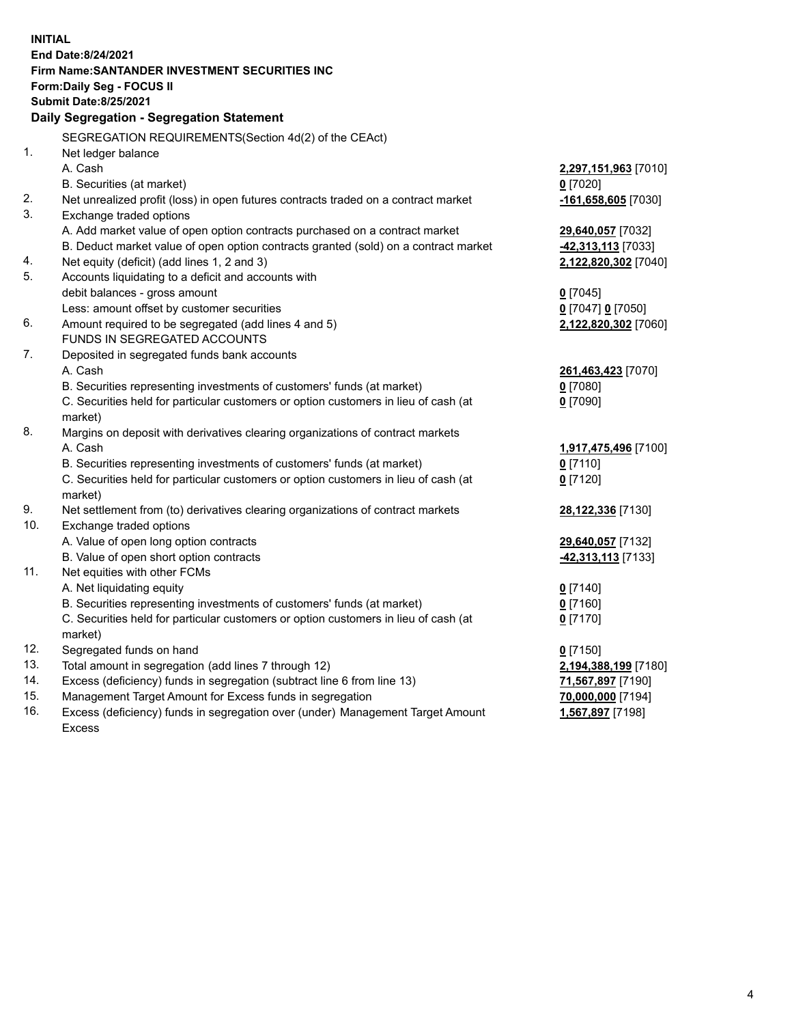| <b>INITIAL</b> |                                                                                                                                                               |                       |
|----------------|---------------------------------------------------------------------------------------------------------------------------------------------------------------|-----------------------|
|                | End Date: 8/24/2021                                                                                                                                           |                       |
|                | Firm Name: SANTANDER INVESTMENT SECURITIES INC                                                                                                                |                       |
|                | Form: Daily Seg - FOCUS II                                                                                                                                    |                       |
|                | <b>Submit Date:8/25/2021</b>                                                                                                                                  |                       |
|                | Daily Segregation - Segregation Statement                                                                                                                     |                       |
|                | SEGREGATION REQUIREMENTS(Section 4d(2) of the CEAct)                                                                                                          |                       |
| 1.             | Net ledger balance                                                                                                                                            |                       |
|                | A. Cash                                                                                                                                                       | 2,297,151,963 [7010]  |
|                | B. Securities (at market)                                                                                                                                     | $0$ [7020]            |
| 2.             | Net unrealized profit (loss) in open futures contracts traded on a contract market                                                                            | $-161,658,605$ [7030] |
| 3.             | Exchange traded options                                                                                                                                       |                       |
|                | A. Add market value of open option contracts purchased on a contract market                                                                                   | 29,640,057 [7032]     |
|                | B. Deduct market value of open option contracts granted (sold) on a contract market                                                                           | 42,313,113 [7033]     |
| 4.             | Net equity (deficit) (add lines 1, 2 and 3)                                                                                                                   | 2,122,820,302 [7040]  |
| 5.             | Accounts liquidating to a deficit and accounts with                                                                                                           |                       |
|                | debit balances - gross amount                                                                                                                                 | $0$ [7045]            |
|                | Less: amount offset by customer securities                                                                                                                    | 0 [7047] 0 [7050]     |
| 6.             | Amount required to be segregated (add lines 4 and 5)                                                                                                          | 2,122,820,302 [7060]  |
|                | FUNDS IN SEGREGATED ACCOUNTS                                                                                                                                  |                       |
| 7.             | Deposited in segregated funds bank accounts                                                                                                                   |                       |
|                | A. Cash                                                                                                                                                       | 261,463,423 [7070]    |
|                | B. Securities representing investments of customers' funds (at market)                                                                                        | $0$ [7080]            |
|                | C. Securities held for particular customers or option customers in lieu of cash (at                                                                           | $0$ [7090]            |
|                | market)                                                                                                                                                       |                       |
| 8.             | Margins on deposit with derivatives clearing organizations of contract markets                                                                                |                       |
|                | A. Cash                                                                                                                                                       | 1,917,475,496 [7100]  |
|                | B. Securities representing investments of customers' funds (at market)<br>C. Securities held for particular customers or option customers in lieu of cash (at | $0$ [7110]            |
|                | market)                                                                                                                                                       | $0$ [7120]            |
| 9.             | Net settlement from (to) derivatives clearing organizations of contract markets                                                                               | 28,122,336 [7130]     |
| 10.            | Exchange traded options                                                                                                                                       |                       |
|                | A. Value of open long option contracts                                                                                                                        | 29,640,057 [7132]     |
|                | B. Value of open short option contracts                                                                                                                       | 42,313,113 [7133]     |
| 11.            | Net equities with other FCMs                                                                                                                                  |                       |
|                | A. Net liquidating equity                                                                                                                                     | $0$ [7140]            |
|                | B. Securities representing investments of customers' funds (at market)                                                                                        | $0$ [7160]            |
|                | C. Securities held for particular customers or option customers in lieu of cash (at                                                                           | $0$ [7170]            |
|                | market)                                                                                                                                                       |                       |
| 12.            | Segregated funds on hand                                                                                                                                      | $0$ [7150]            |
| 13.            | Total amount in segregation (add lines 7 through 12)                                                                                                          | 2,194,388,199 [7180]  |
| 14.            | Excess (deficiency) funds in segregation (subtract line 6 from line 13)                                                                                       | 71,567,897 [7190]     |
| 15.            | Management Target Amount for Excess funds in segregation                                                                                                      | 70,000,000 [7194]     |
| 16.            | Excess (deficiency) funds in segregation over (under) Management Target Amount                                                                                | 1,567,897 [7198]      |
|                | <b>Excess</b>                                                                                                                                                 |                       |